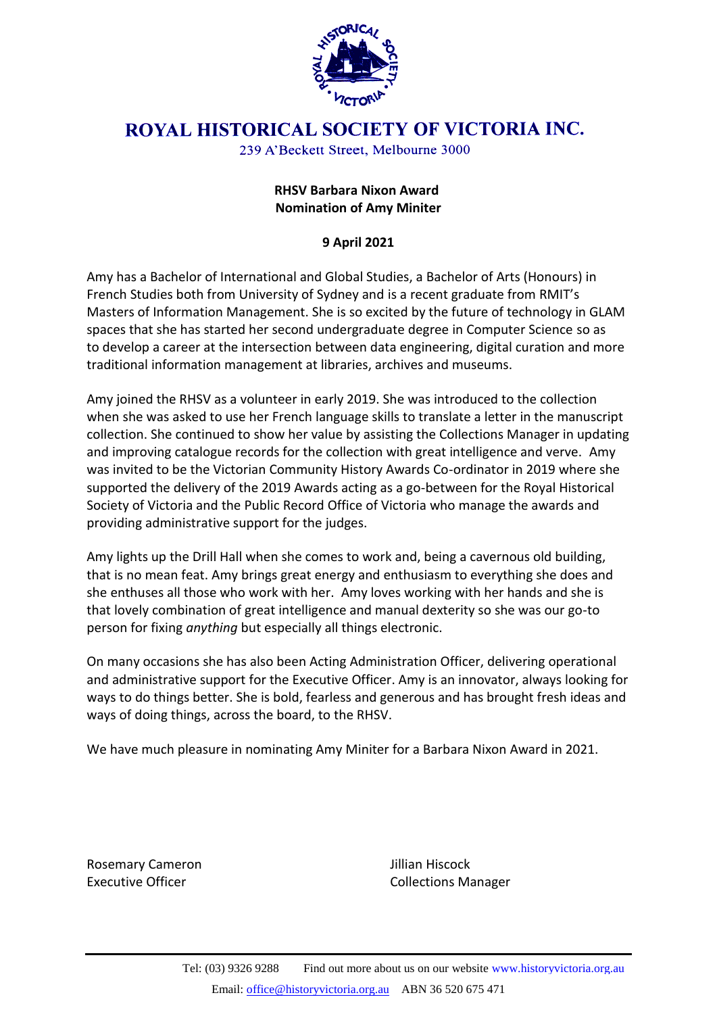

## **ROYAL HISTORICAL SOCIETY OF VICTORIA INC.**

239 A'Beckett Street, Melbourne 3000

## **RHSV Barbara Nixon Award Nomination of Amy Miniter**

## **9 April 2021**

Amy has a Bachelor of International and Global Studies, a Bachelor of Arts (Honours) in French Studies both from University of Sydney and is a recent graduate from RMIT's Masters of Information Management. She is so excited by the future of technology in GLAM spaces that she has started her second undergraduate degree in Computer Science so as to develop a career at the intersection between data engineering, digital curation and more traditional information management at libraries, archives and museums.

Amy joined the RHSV as a volunteer in early 2019. She was introduced to the collection when she was asked to use her French language skills to translate a letter in the manuscript collection. She continued to show her value by assisting the Collections Manager in updating and improving catalogue records for the collection with great intelligence and verve. Amy was invited to be the Victorian Community History Awards Co-ordinator in 2019 where she supported the delivery of the 2019 Awards acting as a go-between for the Royal Historical Society of Victoria and the Public Record Office of Victoria who manage the awards and providing administrative support for the judges.

Amy lights up the Drill Hall when she comes to work and, being a cavernous old building, that is no mean feat. Amy brings great energy and enthusiasm to everything she does and she enthuses all those who work with her. Amy loves working with her hands and she is that lovely combination of great intelligence and manual dexterity so she was our go-to person for fixing *anything* but especially all things electronic.

On many occasions she has also been Acting Administration Officer, delivering operational and administrative support for the Executive Officer. Amy is an innovator, always looking for ways to do things better. She is bold, fearless and generous and has brought fresh ideas and ways of doing things, across the board, to the RHSV.

We have much pleasure in nominating Amy Miniter for a Barbara Nixon Award in 2021.

Rosemary Cameron **Manufathers** Jillian Hiscock

Executive Officer **Collections Manager** Collections Manager